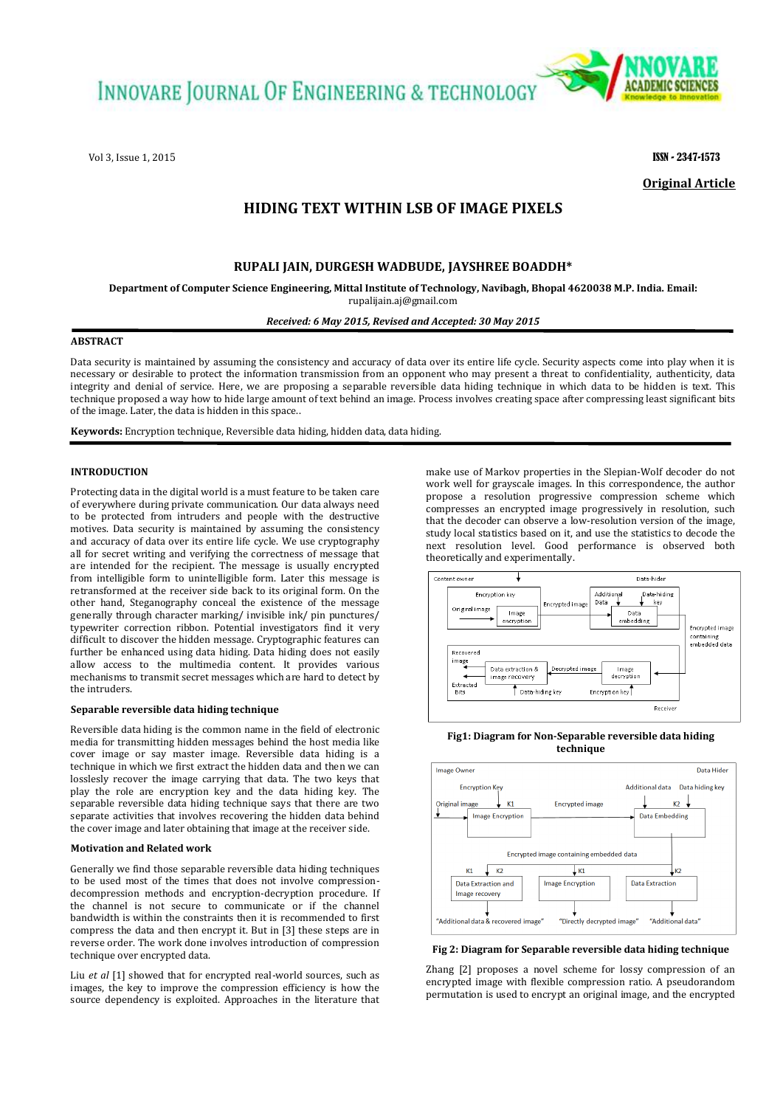**INNOVARE JOURNAL OF ENGINEERING & TECHNOLOGY** 

Vol 3, Issue 1, 2015 **ISSN - 2347-1573** 



**Original Article**

# **HIDING TEXT WITHIN LSB OF IMAGE PIXELS**

# **RUPALI JAIN, DURGESH WADBUDE, JAYSHREE BOADDH\***

**Department of Computer Science Engineering, Mittal Institute of Technology, Navibagh, Bhopal 4620038 M.P. India. Email:**  rupalijain.aj@gmail.com

*Received: 6 May 2015, Revised and Accepted: 30 May 2015*

## **ABSTRACT**

Data security is maintained by assuming the consistency and accuracy of data over its entire life cycle. Security aspects come into play when it is necessary or desirable to protect the information transmission from an opponent who may present a threat to confidentiality, authenticity, data integrity and denial of service. Here, we are proposing a separable reversible data hiding technique in which data to be hidden is text. This technique proposed a way how to hide large amount of text behind an image. Process involves creating space after compressing least significant bits of the image. Later, the data is hidden in this space..

**Keywords:** Encryption technique, Reversible data hiding, hidden data, data hiding.

### **INTRODUCTION**

Protecting data in the digital world is a must feature to be taken care of everywhere during private communication. Our data always need to be protected from intruders and people with the destructive motives. Data security is maintained by assuming the consistency and accuracy of data over its entire life cycle. We use cryptography all for secret writing and verifying the correctness of message that are intended for the recipient. The message is usually encrypted from intelligible form to unintelligible form. Later this message is retransformed at the receiver side back to its original form. On the other hand, Steganography conceal the existence of the message generally through character marking/ invisible ink/ pin punctures/ typewriter correction ribbon. Potential investigators find it very difficult to discover the hidden message. Cryptographic features can further be enhanced using data hiding. Data hiding does not easily allow access to the multimedia content. It provides various mechanisms to transmit secret messages which are hard to detect by the intruders.

#### **Separable reversible data hiding technique**

Reversible data hiding is the common name in the field of electronic media for transmitting hidden messages behind the host media like cover image or say master image. Reversible data hiding is a technique in which we first extract the hidden data and then we can losslesly recover the image carrying that data. The two keys that play the role are encryption key and the data hiding key. The separable reversible data hiding technique says that there are two separate activities that involves recovering the hidden data behind the cover image and later obtaining that image at the receiver side.

#### **Motivation and Related work**

Generally we find those separable reversible data hiding techniques to be used most of the times that does not involve compressiondecompression methods and encryption-decryption procedure. If the channel is not secure to communicate or if the channel bandwidth is within the constraints then it is recommended to first compress the data and then encrypt it. But in [3] these steps are in reverse order. The work done involves introduction of compression technique over encrypted data.

Liu *et al* [1] showed that for encrypted real-world sources, such as images, the key to improve the compression efficiency is how the source dependency is exploited. Approaches in the literature that

make use of Markov properties in the Slepian-Wolf decoder do not work well for grayscale images. In this correspondence, the author propose a resolution progressive compression scheme which compresses an encrypted image progressively in resolution, such that the decoder can observe a low-resolution version of the image, study local statistics based on it, and use the statistics to decode the next resolution level. Good performance is observed both theoretically and experimentally.



**Fig1: Diagram for Non-Separable reversible data hiding technique**



**Fig 2: Diagram for Separable reversible data hiding technique**

Zhang [2] proposes a novel scheme for lossy compression of an encrypted image with flexible compression ratio. A pseudorandom permutation is used to encrypt an original image, and the encrypted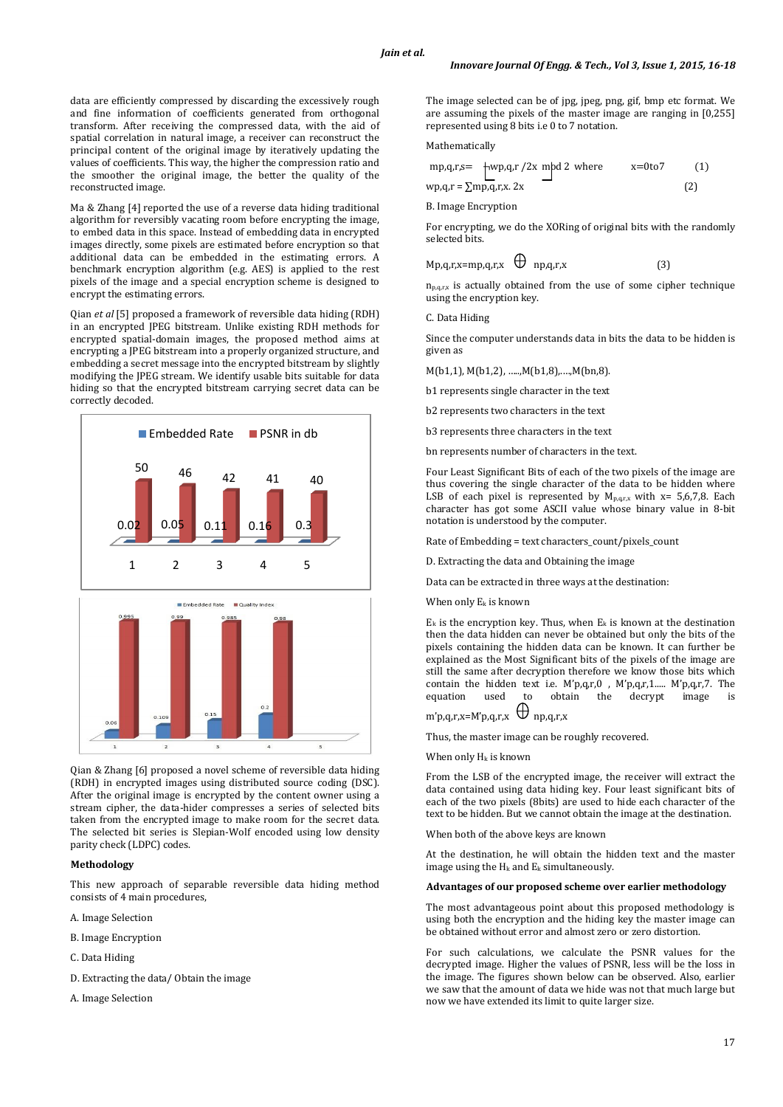data are efficiently compressed by discarding the excessively rough and fine information of coefficients generated from orthogonal transform. After receiving the compressed data, with the aid of spatial correlation in natural image, a receiver can reconstruct the principal content of the original image by iteratively updating the values of coefficients. This way, the higher the compression ratio and the smoother the original image, the better the quality of the reconstructed image.

Ma & Zhang [4] reported the use of a reverse data hiding traditional algorithm for reversibly vacating room before encrypting the image, to embed data in this space. Instead of embedding data in encrypted images directly, some pixels are estimated before encryption so that additional data can be embedded in the estimating errors. A benchmark encryption algorithm (e.g. AES) is applied to the rest pixels of the image and a special encryption scheme is designed to encrypt the estimating errors.

Qian *et al* [5] proposed a framework of reversible data hiding (RDH) in an encrypted JPEG bitstream. Unlike existing RDH methods for encrypted spatial-domain images, the proposed method aims at encrypting a JPEG bitstream into a properly organized structure, and embedding a secret message into the encrypted bitstream by slightly modifying the JPEG stream. We identify usable bits suitable for data hiding so that the encrypted bitstream carrying secret data can be correctly decoded.



Qian & Zhang [6] proposed a novel scheme of reversible data hiding (RDH) in encrypted images using distributed source coding (DSC). After the original image is encrypted by the content owner using a stream cipher, the data-hider compresses a series of selected bits taken from the encrypted image to make room for the secret data. The selected bit series is Slepian-Wolf encoded using low density parity check (LDPC) codes.

#### **Methodology**

This new approach of separable reversible data hiding method consists of 4 main procedures,

- A. Image Selection
- B. Image Encryption
- C. Data Hiding
- D. Extracting the data/ Obtain the image
- A. Image Selection

The image selected can be of jpg, jpeg, png, gif, bmp etc format. We are assuming the pixels of the master image are ranging in [0,255] represented using 8 bits i.e 0 to 7 notation.

#### Mathematically

|                                    | $mp,q,r,s = \frac{1}{2} \frac{mp}{q,r}$ /2x mpd 2 where | x=0to7 | (1) |
|------------------------------------|---------------------------------------------------------|--------|-----|
| $wp, q, r = \sum mp, q, r, x$ . 2x |                                                         |        | (2) |

B. Image Encryption

For encrypting, we do the XORing of original bits with the randomly selected bits.

$$
Mp,q,r,x=mp,q,r,x \qquad \qquad (3)
$$

 $n_{p,q,r,x}$  is actually obtained from the use of some cipher technique using the encryption key.

C. Data Hiding

Since the computer understands data in bits the data to be hidden is given as

M(b1,1), M(b1,2), …..,M(b1,8),.…,M(bn,8).

b1 represents single character in the text

b2 represents two characters in the text

b3 represents three characters in the text

bn represents number of characters in the text.

Four Least Significant Bits of each of the two pixels of the image are thus covering the single character of the data to be hidden where LSB of each pixel is represented by  $M_{p,q,r,x}$  with x= 5,6,7,8. Each character has got some ASCII value whose binary value in 8-bit notation is understood by the computer.

Rate of Embedding = text characters\_count/pixels\_count

D. Extracting the data and Obtaining the image

Data can be extracted in three ways at the destination:

When only  $E_k$  is known

 $E_k$  is the encryption key. Thus, when  $E_k$  is known at the destination then the data hidden can never be obtained but only the bits of the pixels containing the hidden data can be known. It can further be explained as the Most Significant bits of the pixels of the image are still the same after decryption therefore we know those bits which contain the hidden text i.e. M'p,q,r,0 , M'p,q,r,1..... M'p,q,r,7. The equation used to obtain the decrypt image is  $m'$ p,q,r,x=M'p,q,r,x  $\bigoplus$  np,q,r,x

Thus, the master image can be roughly recovered.

When only  $H_k$  is known

From the LSB of the encrypted image, the receiver will extract the data contained using data hiding key. Four least significant bits of each of the two pixels (8bits) are used to hide each character of the text to be hidden. But we cannot obtain the image at the destination.

When both of the above keys are known

At the destination, he will obtain the hidden text and the master image using the  $H_k$  and  $E_k$  simultaneously.

#### **Advantages of our proposed scheme over earlier methodology**

The most advantageous point about this proposed methodology is using both the encryption and the hiding key the master image can be obtained without error and almost zero or zero distortion.

For such calculations, we calculate the PSNR values for the decrypted image. Higher the values of PSNR, less will be the loss in the image. The figures shown below can be observed. Also, earlier we saw that the amount of data we hide was not that much large but now we have extended its limit to quite larger size.